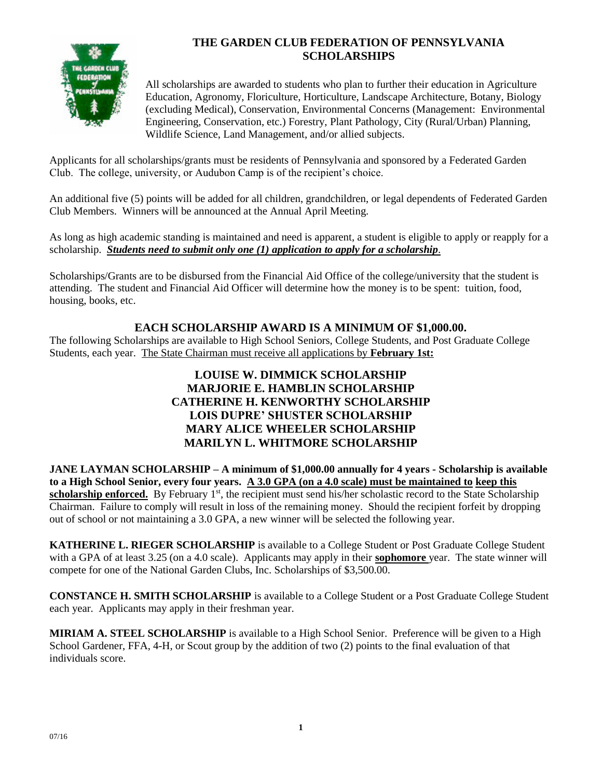

# **THE GARDEN CLUB FEDERATION OF PENNSYLVANIA SCHOLARSHIPS**

All scholarships are awarded to students who plan to further their education in Agriculture Education, Agronomy, Floriculture, Horticulture, Landscape Architecture, Botany, Biology (excluding Medical), Conservation, Environmental Concerns (Management: Environmental Engineering, Conservation, etc.) Forestry, Plant Pathology, City (Rural/Urban) Planning, Wildlife Science, Land Management, and/or allied subjects.

Applicants for all scholarships/grants must be residents of Pennsylvania and sponsored by a Federated Garden Club. The college, university, or Audubon Camp is of the recipient's choice.

An additional five (5) points will be added for all children, grandchildren, or legal dependents of Federated Garden Club Members. Winners will be announced at the Annual April Meeting.

As long as high academic standing is maintained and need is apparent, a student is eligible to apply or reapply for a scholarship. *Students need to submit only one (1) application to apply for a scholarship*.

Scholarships/Grants are to be disbursed from the Financial Aid Office of the college/university that the student is attending. The student and Financial Aid Officer will determine how the money is to be spent: tuition, food, housing, books, etc.

## **EACH SCHOLARSHIP AWARD IS A MINIMUM OF \$1,000.00.**

The following Scholarships are available to High School Seniors, College Students, and Post Graduate College Students, each year. The State Chairman must receive all applications by **February 1st:**

## **LOUISE W. DIMMICK SCHOLARSHIP MARJORIE E. HAMBLIN SCHOLARSHIP CATHERINE H. KENWORTHY SCHOLARSHIP LOIS DUPRE' SHUSTER SCHOLARSHIP MARY ALICE WHEELER SCHOLARSHIP MARILYN L. WHITMORE SCHOLARSHIP**

**JANE LAYMAN SCHOLARSHIP – A minimum of \$1,000.00 annually for 4 years - Scholarship is available to a High School Senior, every four years. A 3.0 GPA (on a 4.0 scale) must be maintained to keep this**  scholarship enforced. By February 1<sup>st</sup>, the recipient must send his/her scholastic record to the State Scholarship Chairman. Failure to comply will result in loss of the remaining money. Should the recipient forfeit by dropping out of school or not maintaining a 3.0 GPA, a new winner will be selected the following year.

**KATHERINE L. RIEGER SCHOLARSHIP** is available to a College Student or Post Graduate College Student with a GPA of at least 3.25 (on a 4.0 scale). Applicants may apply in their **sophomore** year. The state winner will compete for one of the National Garden Clubs, Inc. Scholarships of \$3,500.00.

**CONSTANCE H. SMITH SCHOLARSHIP** is available to a College Student or a Post Graduate College Student each year. Applicants may apply in their freshman year.

**MIRIAM A. STEEL SCHOLARSHIP** is available to a High School Senior. Preference will be given to a High School Gardener, FFA, 4-H, or Scout group by the addition of two (2) points to the final evaluation of that individuals score.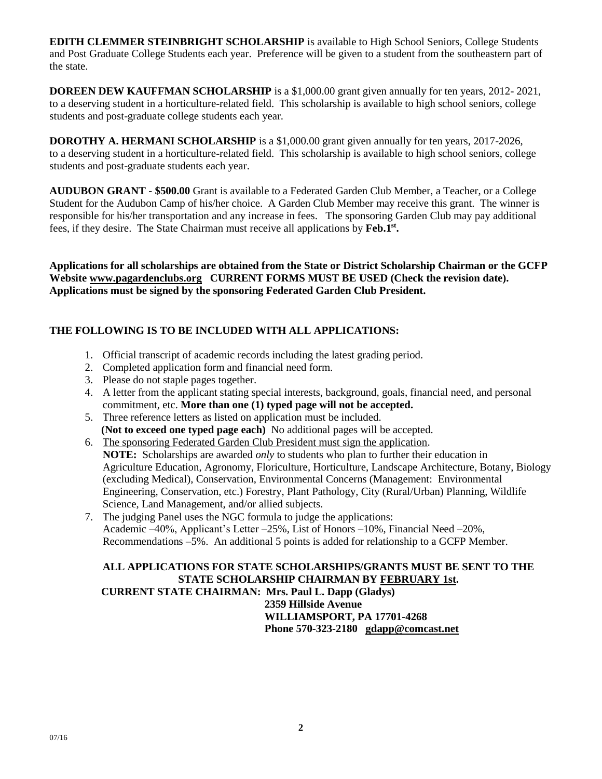**EDITH CLEMMER STEINBRIGHT SCHOLARSHIP** is available to High School Seniors, College Students and Post Graduate College Students each year. Preference will be given to a student from the southeastern part of the state.

**DOREEN DEW KAUFFMAN SCHOLARSHIP** is a \$1,000.00 grant given annually for ten years, 2012- 2021, to a deserving student in a horticulture-related field. This scholarship is available to high school seniors, college students and post-graduate college students each year.

**DOROTHY A. HERMANI SCHOLARSHIP** is a \$1,000.00 grant given annually for ten years, 2017-2026, to a deserving student in a horticulture-related field. This scholarship is available to high school seniors, college students and post-graduate students each year.

**AUDUBON GRANT - \$500.00** Grant is available to a Federated Garden Club Member, a Teacher, or a College Student for the Audubon Camp of his/her choice. A Garden Club Member may receive this grant. The winner is responsible for his/her transportation and any increase in fees. The sponsoring Garden Club may pay additional fees, if they desire. The State Chairman must receive all applications by **Feb.1st.**

**Applications for all scholarships are obtained from the State or District Scholarship Chairman or the GCFP Website [www.pagardenclubs.org](http://www.pagardenclubs.org/) CURRENT FORMS MUST BE USED (Check the revision date). Applications must be signed by the sponsoring Federated Garden Club President.**

### **THE FOLLOWING IS TO BE INCLUDED WITH ALL APPLICATIONS:**

- 1. Official transcript of academic records including the latest grading period.
- 2. Completed application form and financial need form.
- 3. Please do not staple pages together.
- 4. A letter from the applicant stating special interests, background, goals, financial need, and personal commitment, etc. **More than one (1) typed page will not be accepted.**
- 5. Three reference letters as listed on application must be included.  **(Not to exceed one typed page each)** No additional pages will be accepted.
- 6. The sponsoring Federated Garden Club President must sign the application. **NOTE:** Scholarships are awarded *only* to students who plan to further their education in Agriculture Education, Agronomy, Floriculture, Horticulture, Landscape Architecture, Botany, Biology (excluding Medical), Conservation, Environmental Concerns (Management: Environmental Engineering, Conservation, etc.) Forestry, Plant Pathology, City (Rural/Urban) Planning, Wildlife Science, Land Management, and/or allied subjects.
- 7. The judging Panel uses the NGC formula to judge the applications: Academic –40%, Applicant's Letter –25%, List of Honors –10%, Financial Need –20%, Recommendations –5%. An additional 5 points is added for relationship to a GCFP Member.

#### **ALL APPLICATIONS FOR STATE SCHOLARSHIPS/GRANTS MUST BE SENT TO THE STATE SCHOLARSHIP CHAIRMAN BY FEBRUARY 1st. CURRENT STATE CHAIRMAN: Mrs. Paul L. Dapp (Gladys) 2359 Hillside Avenue WILLIAMSPORT, PA 17701-4268 Phone 570-323-2180 [gdapp@comcast.net](mailto:gdapp@comcast.net)**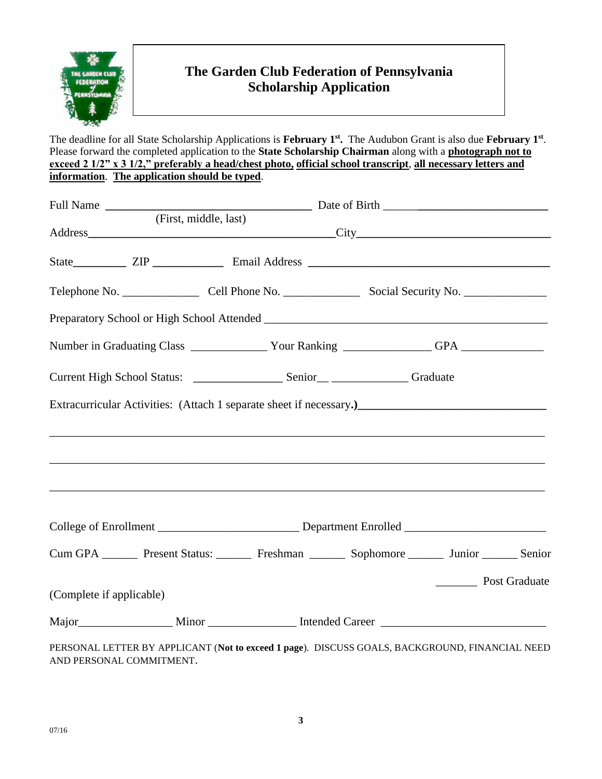

# **The Garden Club Federation of Pennsylvania Scholarship Application**

The deadline for all State Scholarship Applications is **February 1st.** The Audubon Grant is also due **February 1st**. Please forward the completed application to the **State Scholarship Chairman** along with a **photograph not to exceed 2 1/2" x 3 1/2," preferably a head/chest photo, official school transcript, all necessary letters and information.** The application should be typed.

|                                                                                                                            | (First, middle, last) |  |  |               |  |
|----------------------------------------------------------------------------------------------------------------------------|-----------------------|--|--|---------------|--|
|                                                                                                                            |                       |  |  |               |  |
|                                                                                                                            |                       |  |  |               |  |
|                                                                                                                            |                       |  |  |               |  |
|                                                                                                                            |                       |  |  |               |  |
|                                                                                                                            |                       |  |  |               |  |
|                                                                                                                            |                       |  |  |               |  |
|                                                                                                                            |                       |  |  |               |  |
|                                                                                                                            |                       |  |  |               |  |
|                                                                                                                            |                       |  |  |               |  |
|                                                                                                                            |                       |  |  |               |  |
| Cum GPA _________ Present Status: _________ Freshman ________ Sophomore ________ Junior ________ Senior                    |                       |  |  |               |  |
|                                                                                                                            |                       |  |  | Post Graduate |  |
| (Complete if applicable)                                                                                                   |                       |  |  |               |  |
|                                                                                                                            |                       |  |  |               |  |
| PERSONAL LETTER BY APPLICANT (Not to exceed 1 page). DISCUSS GOALS, BACKGROUND, FINANCIAL NEED<br>AND PERSONAL COMMITMENT. |                       |  |  |               |  |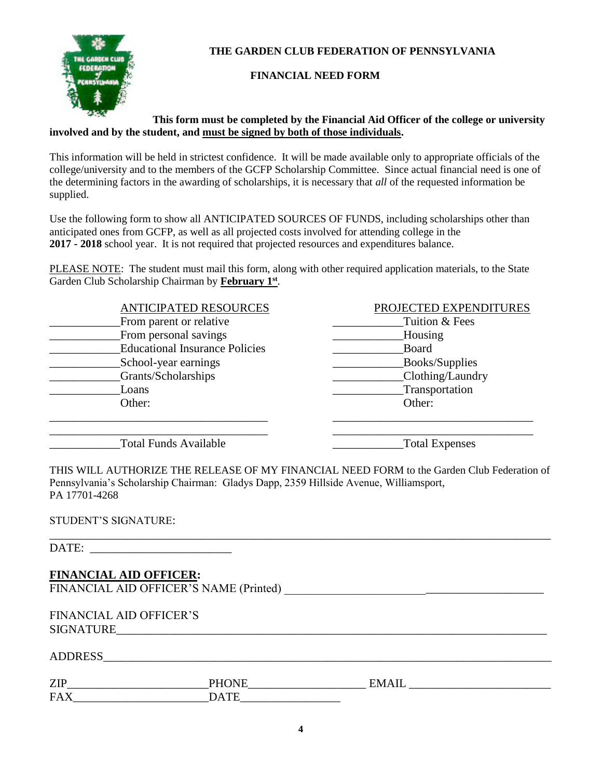

**THE GARDEN CLUB FEDERATION OF PENNSYLVANIA**

### **FINANCIAL NEED FORM**

### **This form must be completed by the Financial Aid Officer of the college or university involved and by the student, and must be signed by both of those individuals.**

This information will be held in strictest confidence. It will be made available only to appropriate officials of the college/university and to the members of the GCFP Scholarship Committee. Since actual financial need is one of the determining factors in the awarding of scholarships, it is necessary that *all* of the requested information be supplied.

Use the following form to show all ANTICIPATED SOURCES OF FUNDS, including scholarships other than anticipated ones from GCFP, as well as all projected costs involved for attending college in the **2017 - 2018** school year. It is not required that projected resources and expenditures balance.

PLEASE NOTE: The student must mail this form, along with other required application materials, to the State Garden Club Scholarship Chairman by **February 1st**.

| <b>ANTICIPATED RESOURCES</b>          | PROJECTED EXPENDITURES |
|---------------------------------------|------------------------|
| From parent or relative               | Tuition & Fees         |
| From personal savings                 | Housing                |
| <b>Educational Insurance Policies</b> | Board                  |
| School-year earnings                  | Books/Supplies         |
| Grants/Scholarships                   | Clothing/Laundry       |
| Loans                                 | Transportation         |
| Other:                                | Other:                 |
|                                       |                        |

\_\_\_\_\_\_\_\_\_\_\_\_\_\_\_\_\_\_\_\_\_\_\_\_\_\_\_\_\_\_\_\_\_\_\_\_\_ \_\_\_\_\_\_\_\_\_\_\_\_\_\_\_\_\_\_\_\_\_\_\_\_\_\_\_\_\_\_\_\_\_\_

Total Funds Available **Total Expenses** 

THIS WILL AUTHORIZE THE RELEASE OF MY FINANCIAL NEED FORM to the Garden Club Federation of Pennsylvania's Scholarship Chairman: Gladys Dapp, 2359 Hillside Avenue, Williamsport, PA 17701-4268

\_\_\_\_\_\_\_\_\_\_\_\_\_\_\_\_\_\_\_\_\_\_\_\_\_\_\_\_\_\_\_\_\_\_\_\_\_\_\_\_\_\_\_\_\_\_\_\_\_\_\_\_\_\_\_\_\_\_\_\_\_\_\_\_\_\_\_\_\_\_\_\_\_\_\_\_\_\_\_\_\_\_\_\_\_

### STUDENT'S SIGNATURE:

DATE:

# **FINANCIAL AID OFFICER:**

FINANCIAL AID OFFICER'S NAME (Printed) \_\_\_\_\_\_\_\_\_\_\_\_\_\_\_\_\_\_\_\_\_\_\_\_\_\_\_\_\_\_\_\_\_\_\_\_\_\_\_\_\_\_\_\_

FINANCIAL AID OFFICER'S SIGNATURE

| $\frac{1}{2} \frac{1}{2} \frac{1}{2} \frac{1}{2} \frac{1}{2} \frac{1}{2} \frac{1}{2} \frac{1}{2} \frac{1}{2} \frac{1}{2} \frac{1}{2} \frac{1}{2} \frac{1}{2} \frac{1}{2} \frac{1}{2} \frac{1}{2} \frac{1}{2} \frac{1}{2} \frac{1}{2} \frac{1}{2} \frac{1}{2} \frac{1}{2} \frac{1}{2} \frac{1}{2} \frac{1}{2} \frac{1}{2} \frac{1}{2} \frac{1}{2} \frac{1}{2} \frac{1}{2} \frac{1}{2} \frac{$<br>Δ<br>. к<br><b>ADDINESS</b> |  |  |  |
|-----------------------------------------------------------------------------------------------------------------------------------------------------------------------------------------------------------------------------------------------------------------------------------------------------------------------------------------------------------------------------------------------------------------------------|--|--|--|
|                                                                                                                                                                                                                                                                                                                                                                                                                             |  |  |  |

| <b>ZIP</b>      |  |
|-----------------|--|
| FA<br>* * * * * |  |